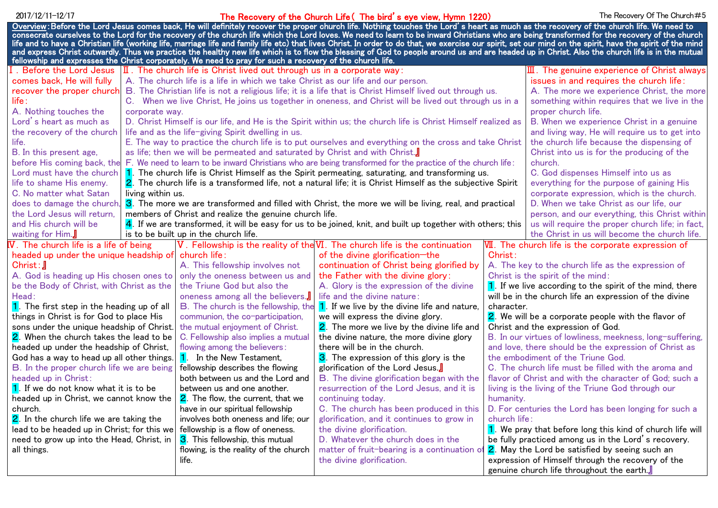## 2017/12/11–12/17 **Example 2017 Contract Construct Life Church Life (The bird's eye view, Hymn 1220)** The Recovery Of The Church#5

| <u>Overview</u> : Before the Lord Jesus comes back, He will definitely recover the proper church life. Nothing touches the Lord's heart as much as the recovery of the church life. We need to<br>consecrate ourselves to the Lord for the recovery of the church life which the Lord loves. We need to learn to be inward Christians who are being transformed for the recovery of the church |                                                                                                                                        |                                                                                  |                                                                             |                                                                                                                    |                                                                      |  |
|------------------------------------------------------------------------------------------------------------------------------------------------------------------------------------------------------------------------------------------------------------------------------------------------------------------------------------------------------------------------------------------------|----------------------------------------------------------------------------------------------------------------------------------------|----------------------------------------------------------------------------------|-----------------------------------------------------------------------------|--------------------------------------------------------------------------------------------------------------------|----------------------------------------------------------------------|--|
| life and to have a Christian life (working life, marriage life and family life etc) that lives Christ. In order to do that, we exercise our spirit, set our mind on the spirit, have the spirit of the mind                                                                                                                                                                                    |                                                                                                                                        |                                                                                  |                                                                             |                                                                                                                    |                                                                      |  |
| and express Christ outwardly. Thus we practice the healthy new life which is to flow the blessing of God to people around us and are headed up in Christ. Also the church life is in the mutual<br>fellowship and expresses the Christ corporately. We need to pray for such a recovery of the church life.                                                                                    |                                                                                                                                        |                                                                                  |                                                                             |                                                                                                                    |                                                                      |  |
|                                                                                                                                                                                                                                                                                                                                                                                                |                                                                                                                                        | $\mathbf I$ . The church life is Christ lived out through us in a corporate way: |                                                                             |                                                                                                                    |                                                                      |  |
| I. Before the Lord Jesus                                                                                                                                                                                                                                                                                                                                                                       |                                                                                                                                        |                                                                                  | $\mathbf{I}$ . The genuine experience of Christ always                      |                                                                                                                    |                                                                      |  |
| comes back, He will fully                                                                                                                                                                                                                                                                                                                                                                      | A. The church life is a life in which we take Christ as our life and our person.                                                       |                                                                                  |                                                                             |                                                                                                                    | issues in and requires the church life:                              |  |
| recover the proper church                                                                                                                                                                                                                                                                                                                                                                      | B. The Christian life is not a religious life; it is a life that is Christ Himself lived out through us.                               |                                                                                  |                                                                             |                                                                                                                    | A. The more we experience Christ, the more                           |  |
| life :<br>A. Nothing touches the                                                                                                                                                                                                                                                                                                                                                               | C. When we live Christ, He joins us together in oneness, and Christ will be lived out through us in a<br>corporate way.                |                                                                                  |                                                                             |                                                                                                                    | something within requires that we live in the<br>proper church life. |  |
| Lord's heart as much as                                                                                                                                                                                                                                                                                                                                                                        | D. Christ Himself is our life, and He is the Spirit within us; the church life is Christ Himself realized as                           |                                                                                  |                                                                             |                                                                                                                    | B. When we experience Christ in a genuine                            |  |
| the recovery of the church                                                                                                                                                                                                                                                                                                                                                                     | life and as the life-giving Spirit dwelling in us.                                                                                     |                                                                                  |                                                                             |                                                                                                                    | and living way, He will require us to get into                       |  |
| life.                                                                                                                                                                                                                                                                                                                                                                                          | E. The way to practice the church life is to put ourselves and everything on the cross and take Christ                                 |                                                                                  |                                                                             |                                                                                                                    | the church life because the dispensing of                            |  |
| B. In this present age,                                                                                                                                                                                                                                                                                                                                                                        | as life; then we will be permeated and saturated by Christ and with Christ.                                                            |                                                                                  |                                                                             |                                                                                                                    | Christ into us is for the producing of the                           |  |
|                                                                                                                                                                                                                                                                                                                                                                                                | before His coming back, the F. We need to learn to be inward Christians who are being transformed for the practice of the church life: |                                                                                  |                                                                             |                                                                                                                    | church.                                                              |  |
| Lord must have the church                                                                                                                                                                                                                                                                                                                                                                      | 1. The church life is Christ Himself as the Spirit permeating, saturating, and transforming us.                                        |                                                                                  |                                                                             |                                                                                                                    | C. God dispenses Himself into us as                                  |  |
| life to shame His enemy.                                                                                                                                                                                                                                                                                                                                                                       | 2. The church life is a transformed life, not a natural life; it is Christ Himself as the subjective Spirit                            |                                                                                  |                                                                             |                                                                                                                    | everything for the purpose of gaining His                            |  |
| C. No matter what Satan                                                                                                                                                                                                                                                                                                                                                                        | living within us.                                                                                                                      |                                                                                  |                                                                             |                                                                                                                    | corporate expression, which is the church.                           |  |
| does to damage the church,                                                                                                                                                                                                                                                                                                                                                                     | 3. The more we are transformed and filled with Christ, the more we will be living, real, and practical                                 |                                                                                  |                                                                             |                                                                                                                    | D. When we take Christ as our life, our                              |  |
| the Lord Jesus will return.                                                                                                                                                                                                                                                                                                                                                                    | members of Christ and realize the genuine church life.                                                                                 |                                                                                  |                                                                             |                                                                                                                    | person, and our everything, this Christ within                       |  |
| and His church will be                                                                                                                                                                                                                                                                                                                                                                         | 4. If we are transformed, it will be easy for us to be joined, knit, and built up together with others; this                           |                                                                                  |                                                                             | us will require the proper church life; in fact,                                                                   |                                                                      |  |
| waiting for Him.                                                                                                                                                                                                                                                                                                                                                                               |                                                                                                                                        | is to be built up in the church life.                                            |                                                                             |                                                                                                                    | the Christ in us will become the church life.                        |  |
| $\overline{N}$ . The church life is a life of being                                                                                                                                                                                                                                                                                                                                            |                                                                                                                                        |                                                                                  | V. Fellowship is the reality of the VI. The church life is the continuation |                                                                                                                    | VII. The church life is the corporate expression of                  |  |
| headed up under the unique headship of                                                                                                                                                                                                                                                                                                                                                         |                                                                                                                                        | church life:                                                                     | of the divine glorification-the                                             | Christ:                                                                                                            |                                                                      |  |
| $Christ: \mathbb{J}$                                                                                                                                                                                                                                                                                                                                                                           |                                                                                                                                        | A. This fellowship involves not                                                  | continuation of Christ being glorified by                                   |                                                                                                                    | A. The key to the church life as the expression of                   |  |
| A. God is heading up His chosen ones to                                                                                                                                                                                                                                                                                                                                                        |                                                                                                                                        | only the oneness between us and                                                  | the Father with the divine glory:                                           | Christ is the spirit of the mind:                                                                                  |                                                                      |  |
| be the Body of Christ, with Christ as the                                                                                                                                                                                                                                                                                                                                                      |                                                                                                                                        | the Triune God but also the                                                      | A. Glory is the expression of the divine                                    | 1. If we live according to the spirit of the mind, there                                                           |                                                                      |  |
| Head:                                                                                                                                                                                                                                                                                                                                                                                          |                                                                                                                                        | oneness among all the believers.                                                 | life and the divine nature:                                                 | will be in the church life an expression of the divine                                                             |                                                                      |  |
| 1. The first step in the heading up of all                                                                                                                                                                                                                                                                                                                                                     |                                                                                                                                        | B. The church is the fellowship, the                                             | 1. If we live by the divine life and nature,                                | character.                                                                                                         |                                                                      |  |
| things in Christ is for God to place His                                                                                                                                                                                                                                                                                                                                                       |                                                                                                                                        | communion, the co-participation,                                                 | we will express the divine glory.                                           |                                                                                                                    | 2. We will be a corporate people with the flavor of                  |  |
| sons under the unique headship of Christ.                                                                                                                                                                                                                                                                                                                                                      |                                                                                                                                        | the mutual enjoyment of Christ.                                                  | 2. The more we live by the divine life and                                  | Christ and the expression of God.                                                                                  |                                                                      |  |
| 2. When the church takes the lead to be                                                                                                                                                                                                                                                                                                                                                        |                                                                                                                                        | C. Fellowship also implies a mutual                                              | the divine nature, the more divine glory                                    | B. In our virtues of lowliness, meekness, long-suffering,<br>and love, there should be the expression of Christ as |                                                                      |  |
| headed up under the headship of Christ,<br>God has a way to head up all other things.                                                                                                                                                                                                                                                                                                          |                                                                                                                                        | flowing among the believers:<br>1. In the New Testament,                         | there will be in the church.<br>3. The expression of this glory is the      | the embodiment of the Triune God.                                                                                  |                                                                      |  |
| B. In the proper church life we are being                                                                                                                                                                                                                                                                                                                                                      |                                                                                                                                        | fellowship describes the flowing                                                 | glorification of the Lord Jesus.                                            | C. The church life must be filled with the aroma and                                                               |                                                                      |  |
| headed up in Christ:                                                                                                                                                                                                                                                                                                                                                                           |                                                                                                                                        | both between us and the Lord and                                                 | <b>B.</b> The divine glorification began with the                           | flavor of Christ and with the character of God; such a                                                             |                                                                      |  |
| 1. If we do not know what it is to be                                                                                                                                                                                                                                                                                                                                                          |                                                                                                                                        | between us and one another.                                                      | resurrection of the Lord Jesus, and it is                                   | living is the living of the Triune God through our                                                                 |                                                                      |  |
| headed up in Christ, we cannot know the                                                                                                                                                                                                                                                                                                                                                        |                                                                                                                                        | 2. The flow, the current, that we                                                | continuing today.                                                           | humanity.                                                                                                          |                                                                      |  |
| church.                                                                                                                                                                                                                                                                                                                                                                                        |                                                                                                                                        | have in our spiritual fellowship                                                 | C. The church has been produced in this                                     | D. For centuries the Lord has been longing for such a                                                              |                                                                      |  |
| 2. In the church life we are taking the                                                                                                                                                                                                                                                                                                                                                        |                                                                                                                                        | involves both oneness and life; our                                              | glorification, and it continues to grow in                                  | church life:                                                                                                       |                                                                      |  |
| lead to be headed up in Christ; for this we                                                                                                                                                                                                                                                                                                                                                    |                                                                                                                                        | fellowship is a flow of oneness.                                                 | the divine glorification.                                                   | 1. We pray that before long this kind of church life will                                                          |                                                                      |  |
| need to grow up into the Head, Christ, in                                                                                                                                                                                                                                                                                                                                                      |                                                                                                                                        | 3. This fellowship, this mutual                                                  | D. Whatever the church does in the                                          | be fully practiced among us in the Lord's recovery.                                                                |                                                                      |  |
| all things.                                                                                                                                                                                                                                                                                                                                                                                    |                                                                                                                                        | flowing, is the reality of the church                                            |                                                                             | matter of fruit-bearing is a continuation of <b>2</b> . May the Lord be satisfied by seeing such an                |                                                                      |  |
|                                                                                                                                                                                                                                                                                                                                                                                                |                                                                                                                                        | life.                                                                            | the divine glorification.                                                   |                                                                                                                    | expression of Himself through the recovery of the                    |  |
|                                                                                                                                                                                                                                                                                                                                                                                                |                                                                                                                                        |                                                                                  |                                                                             |                                                                                                                    | genuine church life throughout the earth.                            |  |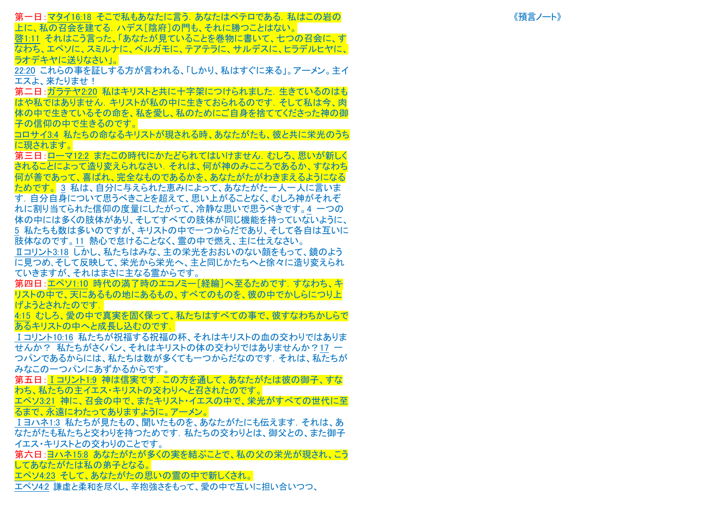第一日:マタイ16:18 そこで私もあなたに言う.あなたはペテロである.私はこの岩の 上に、私の召会を建てる.ハデス[陰府]の門も、それに勝つことはない。 啓1:11 それはこう言った、「あなたが見ていることを巻物に書いて、七つの召会に、す なわち、エペソに、スミルナに、ペルガモに、テアテラに、サルデスに、ヒラデルヒヤに、 ラオデキヤに送りなさい」。

22:20 これらの事を証しする方が言われる、「しかり、 私はすぐに来る」。アーメン。主イ エスよ、来たりませ!

第二日:ガラテヤ2:20 私はキリストと共に十字架につけられました. 生きているのはも はや私ではありません. キリストが私の中に生きておられるのです. そして私は今、肉 体の中で生きているその命を、私を愛し、私のためにご自身を捨ててくださった神の御 子の信仰の中で生きるのです。

コロサイ3:4 私たちの命なるキリストが現される時、あなたがたも、彼と共に栄光のうち に現されます。

第三日:ローマ12:2 またこの時代にかたどられてはいけません. むしろ、思いが新しく されることによって造り変えられなさい.それは、何が神のみこころであるか、すなわち 何が善であって、喜ばれ、完全なものであるかを、あなたがたがわきまえるようになる <u>ためです。 3</u> 私は、自分に与えられた恵みによって、あなたがた一人一人に言いま す.自分自身について思うべきことを超えて、思い上がることなく、むしろ神がそれぞ れに割り当てられた信仰の度量にしたがって、冷静な思いで思うべきです。 4 一つの 体の中には多くの肢体があり、そしてすべての肢体が同じ機能を持っていないように、 5 私たちも数は多いのですが、キリストの中で一つからだであり、そして各自は互いに 肢体なのです。11 熱心で怠けることなく、霊の中で燃え、主に仕えなさい。

Ⅱコリント3:18 しかし、私たちはみな、主の栄光をおおいのない顔をもって、鏡のよう に見つめ、そして反映して、栄光から栄光へ、主と同じかたちへと徐々に造り変えられ ていきますが、それはまさに主なる霊からです。

第四日:エペソ1:10 時代の満了時のエコノミー[経綸]へ至るためです. すなわち、キ リストの中で、天にあるもの地にあるもの、すべてのものを、彼の中でかしらにつり上 げようとされたのです.

4:15 むしろ、愛の中で真実を固く保って、私たちはすべての事で、彼すなわちかしらで あるキリストの中へと成長し込むのです.

Ⅰコリント10:16 私たちが祝福する祝福の杯、それはキリストの血の交わりではありま せんか? 私たちがさくパン、それはキリストの体の交わりではありませんか?17 ー つパンであるからには、 私たちは数が多くても一つからだなのです.それは、 私たちが みなこの一つパンにあずかるからです。

第五日:Ⅰコリント1:9 神は信実です.この方を通して、あなたがたは彼の御子、すな わち、私たちの主イエス・キリストの交わりへと召されたのです。

エペソ3:21 神に、召会の中で、またキリスト・イエスの中で、栄光がすべての世代に至 るまで、永遠にわたってありますように。アーメン。

Ⅰヨハ ネ1:3 私たちが見たもの、聞いたものを、あなたがたにも伝えます.それは、あ なたがたも私たちと交わりを持つためです.私たちの交わりとは、御父との、また御子 イエス・キリストとの交わりのことです。

第六日:ヨハネ15:8 あなたがたが多くの実を結ぶことで、私の父の栄光が現され、こう してあなたがたは私の弟子となる。

エペソ4:23 そして、あなたがたの思いの霊の中で新しくされ。

エペソ4:2 謙虚と柔和を尽くし、辛抱強さをもって、愛の中で互いに担い合いつつ、

《預言ノート》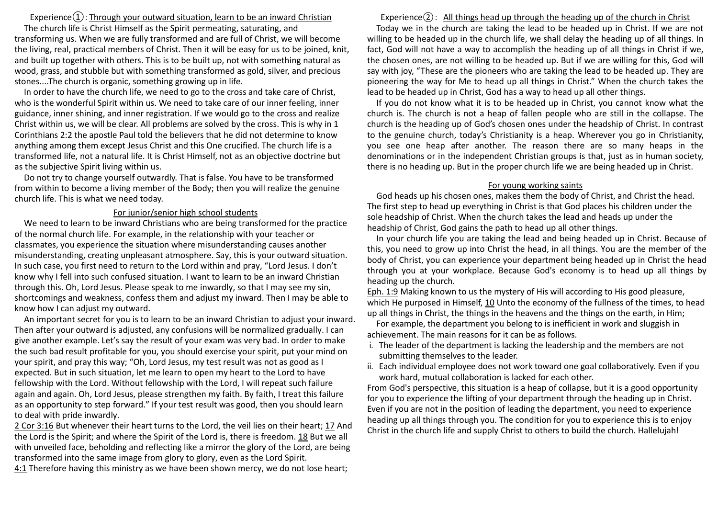# Experience $\Omega$ : Through your outward situation, learn to be an inward Christian

The church life is Christ Himself as the Spirit permeating, saturating, and transforming us. When we are fully transformed and are full of Christ, we will become the living, real, practical members of Christ. Then it will be easy for us to be joined, knit, and built up together with others. This is to be built up, not with something natural as wood, grass, and stubble but with something transformed as gold, silver, and precious stones....The church is organic, something growing up in life.

In order to have the church life, we need to go to the cross and take care of Christ, who is the wonderful Spirit within us. We need to take care of our inner feeling, inner guidance, inner shining, and inner registration. If we would go to the cross and realize Christ within us, we will be clear. All problems are solved by the cross. This is why in 1 Corinthians 2:2 the apostle Paul told the believers that he did not determine to know anything among them except Jesus Christ and this One crucified. The church life is a transformed life, not a natural life. It is Christ Himself, not as an objective doctrine but as the subjective Spirit living within us.

Do not try to change yourself outwardly. That is false. You have to be transformed from within to become a living member of the Body; then you will realize the genuine church life. This is what we need today.

#### For junior/senior high school students

We need to learn to be inward Christians who are being transformed for the practice of the normal church life. For example, in the relationship with your teacher or classmates, you experience the situation where misunderstanding causes another misunderstanding, creating unpleasant atmosphere. Say, this is your outward situation. In such case, you first need to return to the Lord within and pray, "Lord Jesus. I don't know why I fell into such confused situation. I want to learn to be an inward Christian through this. Oh, Lord Jesus. Please speak to me inwardly, so that I may see my sin, shortcomings and weakness, confess them and adjust my inward. Then I may be able to know how I can adjust my outward.

An important secret for you is to learn to be an inward Christian to adjust your inward. Then after your outward is adjusted, any confusions will be normalized gradually. I can give another example. Let's say the result of your exam was very bad. In order to make the such bad result profitable for you, you should exercise your spirit, put your mind on your spirit, and pray this way; "Oh, Lord Jesus, my test result was not as good as I expected. But in such situation, let me learn to open my heart to the Lord to have fellowship with the Lord. Without fellowship with the Lord, I will repeat such failure again and again. Oh, Lord Jesus, please strengthen my faith. By faith, I treat this failure as an opportunity to step forward." If your test result was good, then you should learn to deal with pride inwardly.

2 Cor 3:16 But whenever their heart turns to the Lord, the veil lies on their heart; 17 And the Lord is the Spirit; and where the Spirit of the Lord is, there is freedom. 18 But we all with unveiled face, beholding and reflecting like a mirror the glory of the Lord, are being transformed into the same image from glory to glory, even as the Lord Spirit.

4:1 Therefore having this ministry as we have been shown mercy, we do not lose heart;

Experience $(2)$ : All things head up through the heading up of the church in Christ Today we in the church are taking the lead to be headed up in Christ. If we are not willing to be headed up in the church life, we shall delay the heading up of all things. In fact, God will not have a way to accomplish the heading up of all things in Christ if we, the chosen ones, are not willing to be headed up. But if we are willing for this, God will say with joy, "These are the pioneers who are taking the lead to be headed up. They are pioneering the way for Me to head up all things in Christ." When the church takes the lead to be headed up in Christ, God has a way to head up all other things.

If you do not know what it is to be headed up in Christ, you cannot know what the church is. The church is not a heap of fallen people who are still in the collapse. The church is the heading up of God's chosen ones under the headship of Christ. In contrast to the genuine church, today's Christianity is a heap. Wherever you go in Christianity, you see one heap after another. The reason there are so many heaps in the denominations or in the independent Christian groups is that, just as in human society, there is no heading up. But in the proper church life we are being headed up in Christ.

#### For young working saints

God heads up his chosen ones, makes them the body of Christ, and Christ the head. The first step to head up everything in Christ is that God places his children under the sole headship of Christ. When the church takes the lead and heads up under the headship of Christ, God gains the path to head up all other things.

In your church life you are taking the lead and being headed up in Christ. Because of this, you need to grow up into Christ the head, in all things. You are the member of the body of Christ, you can experience your department being headed up in Christ the head through you at your workplace. Because God's economy is to head up all things by heading up the church.

Eph. 1:9 Making known to us the mystery of His will according to His good pleasure, which He purposed in Himself, 10 Unto the economy of the fullness of the times, to head up all things in Christ, the things in the heavens and the things on the earth, in Him;

For example, the department you belong to is inefficient in work and sluggish in achievement. The main reasons for it can be as follows.

- i. The leader of the department is lacking the leadership and the members are not submitting themselves to the leader.
- ii. Each individual employee does not work toward one goal collaboratively. Even if you work hard, mutual collaboration is lacked for each other.

From God's perspective, this situation is a heap of collapse, but it is a good opportunity for you to experience the lifting of your department through the heading up in Christ. Even if you are not in the position of leading the department, you need to experience heading up all things through you. The condition for you to experience this is to enjoy Christ in the church life and supply Christ to others to build the church. Hallelujah!